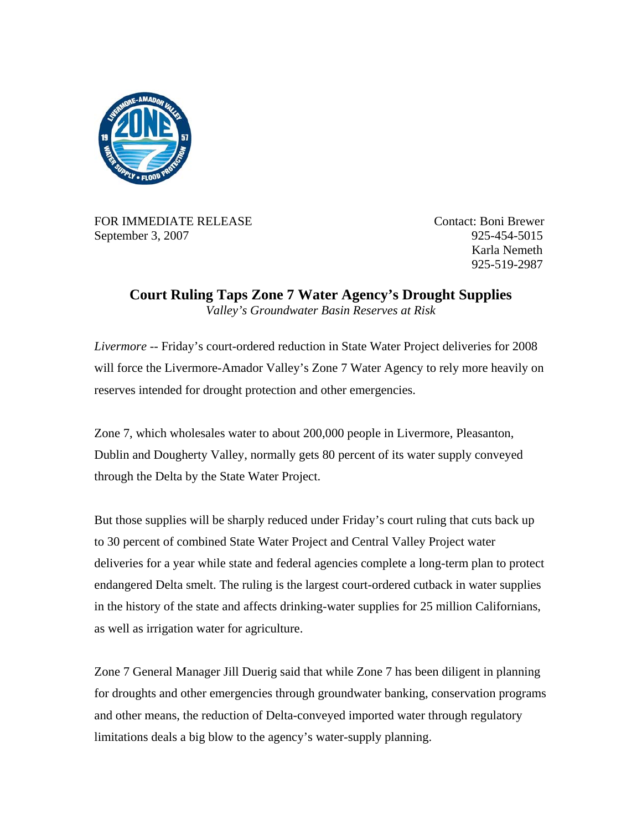

FOR IMMEDIATE RELEASE Contact: Boni Brewer September 3, 2007 925-454-5015

 Karla Nemeth 925-519-2987

**Court Ruling Taps Zone 7 Water Agency's Drought Supplies**  *Valley's Groundwater Basin Reserves at Risk* 

*Livermore --* Friday's court-ordered reduction in State Water Project deliveries for 2008 will force the Livermore-Amador Valley's Zone 7 Water Agency to rely more heavily on reserves intended for drought protection and other emergencies.

Zone 7, which wholesales water to about 200,000 people in Livermore, Pleasanton, Dublin and Dougherty Valley, normally gets 80 percent of its water supply conveyed through the Delta by the State Water Project.

But those supplies will be sharply reduced under Friday's court ruling that cuts back up to 30 percent of combined State Water Project and Central Valley Project water deliveries for a year while state and federal agencies complete a long-term plan to protect endangered Delta smelt. The ruling is the largest court-ordered cutback in water supplies in the history of the state and affects drinking-water supplies for 25 million Californians, as well as irrigation water for agriculture.

Zone 7 General Manager Jill Duerig said that while Zone 7 has been diligent in planning for droughts and other emergencies through groundwater banking, conservation programs and other means, the reduction of Delta-conveyed imported water through regulatory limitations deals a big blow to the agency's water-supply planning.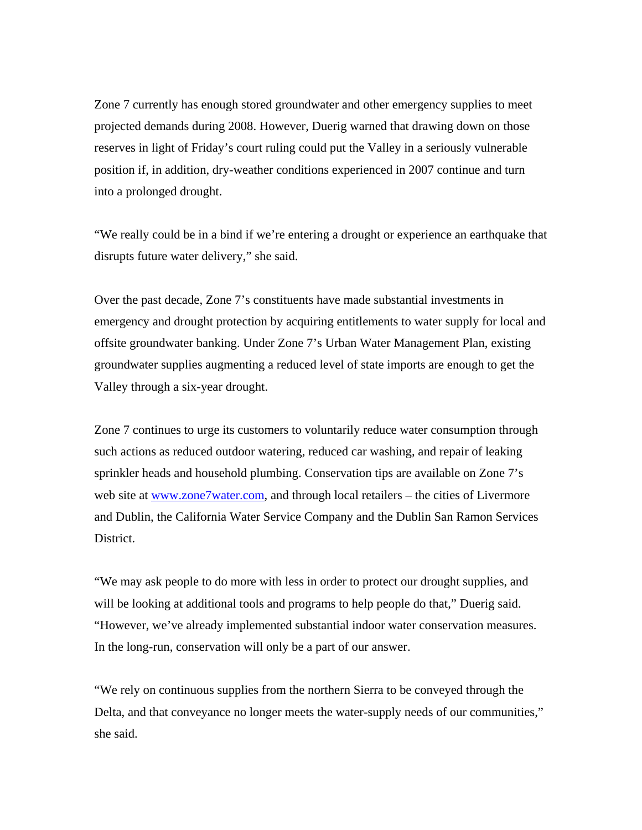Zone 7 currently has enough stored groundwater and other emergency supplies to meet projected demands during 2008. However, Duerig warned that drawing down on those reserves in light of Friday's court ruling could put the Valley in a seriously vulnerable position if, in addition, dry-weather conditions experienced in 2007 continue and turn into a prolonged drought.

"We really could be in a bind if we're entering a drought or experience an earthquake that disrupts future water delivery," she said.

Over the past decade, Zone 7's constituents have made substantial investments in emergency and drought protection by acquiring entitlements to water supply for local and offsite groundwater banking. Under Zone 7's Urban Water Management Plan, existing groundwater supplies augmenting a reduced level of state imports are enough to get the Valley through a six-year drought.

Zone 7 continues to urge its customers to voluntarily reduce water consumption through such actions as reduced outdoor watering, reduced car washing, and repair of leaking sprinkler heads and household plumbing. Conservation tips are available on Zone 7's web site at [www.zone7water.com](http://www.zone7water.com/), and through local retailers – the cities of Livermore and Dublin, the California Water Service Company and the Dublin San Ramon Services District.

"We may ask people to do more with less in order to protect our drought supplies, and will be looking at additional tools and programs to help people do that," Duerig said. "However, we've already implemented substantial indoor water conservation measures. In the long-run, conservation will only be a part of our answer.

"We rely on continuous supplies from the northern Sierra to be conveyed through the Delta, and that conveyance no longer meets the water-supply needs of our communities," she said.